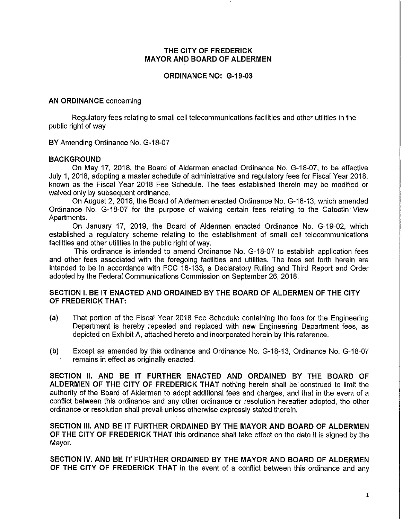## THE CITY OF FREDERICK MAYOR AND BOARD OF ALDERMEN

#### ORDINANCE NO: G-19-03

#### AN ORDINANCE concerning

Regulatory fees relating to small cell telecommunications facilities and other utilities in the public right of way

BY Amending Ordinance No. G-18-07

### **BACKGROUND**

On May 17, 2018, the Board of Aldermen enacted Ordinance No. G-18-07, to be effective July 1, 2018, adopting a master schedule of administrative and regulatory fees for Fiscal Year 2018, known as the Fiscal Year 2018 Fee Schedule. The fees established therein may be modified or waived only by subsequent ordinance.

On August 2,2018, the Board of Aldermen enacted Ordinance No. G-18-13, which amended Ordinance No. G-18-07 for the purpose of waiving certain fees relating to the Catoctin View Apartments.

On January 17, 2019, the Board of Aldermen enacted Ordinance No. G-19-02, which established a regulatory scheme relating to the establishment of small cell telecommunications facilities and other utilities in the public right of way.

This ordinance is intended to amend Ordinance No. G-18-07 to establish application fees and other fees associated with the foregoing facilities and utilities. The fees set forth herein are intended to be in accordance with FCC 18-133, a Declaratory Ruling and Third Report and Order adopted by the Federal Communications Commission on September 26,2018.

## SECTION I. BE IT ENACTED AND ORDAINED BY THE BOARD OF ALDERMEN OF THE CITY OF FREDERICK THAT:

- (a) That portion of the Fiscal Year 2018 Fee Schedule containing the fees for the Engineering Department is hereby repealed and replaced with new Engineering Department fees, as depicted on Exhibit A, attached hereto and incorporated herein by this reference.
- (b) Except as amended by this ordinance and Ordinance No. G-18-13, Ordinance No. G-18-07 remains in effect as originally enacted. .

SECTION II. AND BE IT FURTHER ENACTED AND ORDAINED BY THE BOARD OF ALDERMEN OF THE CITY OF FREDERICK THAT nothing herein shall be construed to limit the authority of the Board of Aldermen to adopt additional fees and charges, and that in the event of a conflict between this ordinance and any other ordinance or resolution hereafter adopted, the other ordinance or resolution shall prevail unless otherwise expressly stated therein.

SECTION III. AND BE IT FURTHER ORDAINED BY THE MAYOR AND BOARD OF ALDERMEN OF THE CITY OF FREDERICK THAT this ordinance shall take effect on the date it is signed by the Mayor.

SECTION IV. AND BE IT FURTHER ORDAINED BY THE MAYOR AND BOARD OF ALDERMEN OF THE CITY OF FREDERICK THAT in the event of a conflict between this ordinance and any

1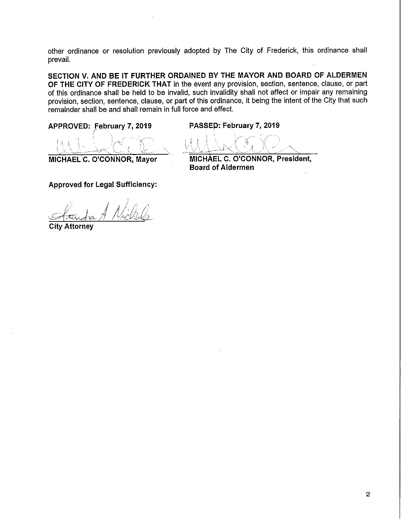other ordinance or resolution previously adopted by The City of Frederick, this ordinance shall prevail.

SECTION V. AND BE IT FURTHER ORDAINED BY THE MAYOR AND BOARD OF ALDERMEN OF THE CITY OF FREDERICK THAT in the event any provision, section, sentence, clause, or part of this ordinance shall be held to be invalid, such invalidity shall not affect or impair any remaining provision, section, sentence, clause, or part of this ordinance, it being the intent of the City that such remainder shall be and shall remain in full force and effect.

APPROVED: February 7, 2019 <

PASSED: February 7, 2019

MICHAEL<sup>C</sup>. O'CONNOR, Mayor

MICHAEL C. O'CONNOR, President, Board of Aldermen

Approved for Legal Sufficiency:

Attornev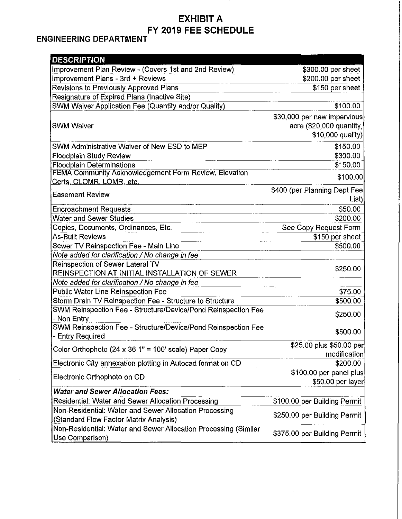## **EXHIBIT A** FY 2019 FEE SCHEDULE

## **ENGINEERING DEPARTMENT**

| <b>DESCRIPTION</b>                                              |                              |
|-----------------------------------------------------------------|------------------------------|
| Improvement Plan Review - (Covers 1st and 2nd Review)           | \$300.00 per sheet           |
| Improvement Plans - 3rd + Reviews                               | \$200.00 per sheet           |
| Revisions to Previously Approved Plans                          | \$150 per sheet              |
| Resignature of Expired Plans (Inactive Site)                    |                              |
| SWM Waiver Application Fee (Quantity and/or Quality)            | \$100.00                     |
|                                                                 | \$30,000 per new impervious  |
| <b>SWM Waiver</b>                                               | acre (\$20,000 quantity,     |
|                                                                 | \$10,000 quality)            |
| SWM Administrative Waiver of New ESD to MEP                     | \$150.00                     |
| <b>Floodplain Study Review</b>                                  | \$300.00                     |
| <b>Floodplain Determinations</b>                                | \$150.00                     |
| FEMA Community Acknowledgement Form Review, Elevation           | \$100.00                     |
| Certs, CLOMR. LOMR, etc.                                        |                              |
| <b>Easement Review</b>                                          | \$400 (per Planning Dept Fee |
|                                                                 | List)                        |
| <b>Encroachment Requests</b>                                    | \$50.00                      |
| <b>Water and Sewer Studies</b>                                  | \$200.00                     |
| Copies, Documents, Ordinances, Etc.                             | See Copy Request Form        |
| <b>As-Built Reviews</b>                                         | \$150 per sheet              |
| Sewer TV Reinspection Fee - Main Line                           | \$500.00                     |
| Note added for clarification / No change in fee                 |                              |
| <b>Reinspection of Sewer Lateral TV</b>                         | \$250.00                     |
| REINSPECTION AT INITIAL INSTALLATION OF SEWER                   |                              |
| Note added for clarification / No change in fee                 |                              |
| <b>Public Water Line Reinspection Fee</b>                       | \$75.00                      |
| Storm Drain TV Reinspection Fee - Structure to Structure        | \$500.00                     |
| SWM Reinspection Fee - Structure/Device/Pond Reinspection Fee   | \$250.00                     |
| - Non Entry                                                     |                              |
| SWM Reinspection Fee - Structure/Device/Pond Reinspection Fee   | \$500.00                     |
| - Entry Required                                                |                              |
| Color Orthophoto (24 x 36 1" = 100' scale) Paper Copy           | \$25.00 plus \$50.00 per     |
| Electronic City annexation plotting in Autocad format on CD     | modification<br>\$200.00     |
| Electronic Orthophoto on CD                                     | \$100.00 per panel plus      |
|                                                                 | \$50.00 per layer            |
| <b>Water and Sewer Allocation Fees:</b>                         |                              |
| Residential: Water and Sewer Allocation Processing              | \$100.00 per Building Permit |
| Non-Residential: Water and Sewer Allocation Processing          |                              |
| (Standard Flow Factor Matrix Analysis)                          | \$250.00 per Building Permit |
| Non-Residential: Water and Sewer Allocation Processing (Similar |                              |
| Use Comparison)                                                 | \$375.00 per Building Permit |